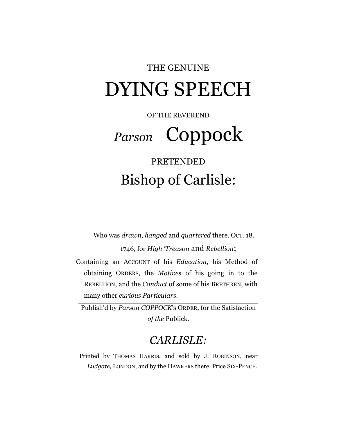## THE GENUINE DYING SPEECH

OF THE REVEREND

# *Parson* Coppock

## PRETENDED Bishop of Carlisle:

Who was *drawn*, *hanged* and *quartered* there, OCT. 18.

1746, for *High 'Treason* and *Rebellion*;

Containing an ACCOUNT of his *Education*, his Method of obtaining ORDERS, the *Motives* of his going in to the REBELLION, and the *Conduct* of some of his BRETHREN, with many other *curious Particulars.*

Publish'd by *Parson COPPOCK*'s ORDER, for the Satisfaction *of the* Publick*.*

### *CARLISLE:*

Printed by THOMAS HARRIS, and sold by J. ROBINSON, near *Ludgate,* LONDON, and by the HAWKERS there. Price SIX-PENCE.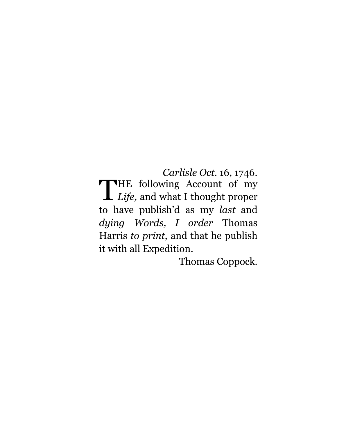*Carlisle Oct.* 16, 1746. HE following Account of my THE following Account of my to have publish'd as my *last* and *dying Words, I order* Thomas Harris *to print,* and that he publish it with all Expedition.

Thomas Coppock.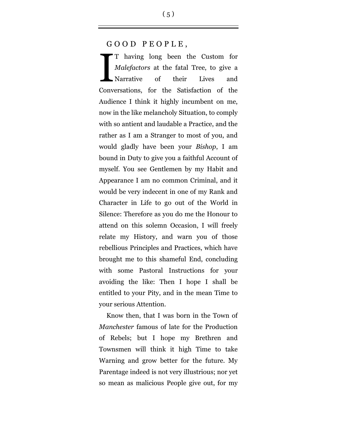#### GOOD PEOPLE,

T having long been the Custom for *Malefactors* at the fatal Tree, to give a Narrative of their Lives and Conversations, for the Satisfaction of the Audience I think it highly incumbent on me, now in the like melancholy Situation, to comply with so antient and laudable a Practice, and the rather as I am a Stranger to most of you, and would gladly have been your *Bishop*, I am bound in Duty to give you a faithful Account of myself. You see Gentlemen by my Habit and Appearance I am no common Criminal, and it would be very indecent in one of my Rank and Character in Life to go out of the World in Silence: Therefore as you do me the Honour to attend on this solemn Occasion, I will freely relate my History, and warn you of those rebellious Principles and Practices, which have brought me to this shameful End, concluding with some Pastoral Instructions for your avoiding the like: Then I hope I shall be entitled to your Pity, and in the mean Time to your serious Attention. I

Know then, that I was born in the Town of *Manchester* famous of late for the Production of Rebels; but I hope my Brethren and Townsmen will think it high Time to take Warning and grow better for the future. My Parentage indeed is not very illustrious; nor yet so mean as malicious People give out, for my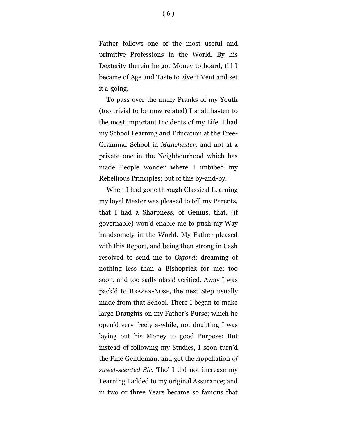Father follows one of the most useful and primitive Professions in the World. By his Dexterity therein he got Money to hoard, till I became of Age and Taste to give it Vent and set it a-going.

To pass over the many Pranks of my Youth (too trivial to be now related) I shall hasten to the most important Incidents of my Life. I had my School Learning and Education at the Free-Grammar School in *Manchester,* and not at a private one in the Neighbourhood which has made People wonder where I imbibed my Rebellious Principles; but of this by-and-by.

When I had gone through Classical Learning my loyal Master was pleased to tell my Parents, that I had a Sharpness, of Genius, that, (if governable) wou'd enable me to push my Way handsomely in the World. My Father pleased with this Report, and being then strong in Cash resolved to send me to *Oxford*; dreaming of nothing less than a Bishoprick for me; too soon, and too sadly alass! verified. Away I was pack'd to BRAZEN-NOSE, the next Step usually made from that School. There I began to make large Draughts on my Father's Purse; which he open'd very freely a-while, not doubting I was laying out his Money to good Purpose; But instead of following my Studies, I soon turn'd the Fine Gentleman, and got the *Ap*pellation *of sweet-scented Sir*. Tho' I did not increase my Learning I added to my original Assurance; and in two or three Years became so famous that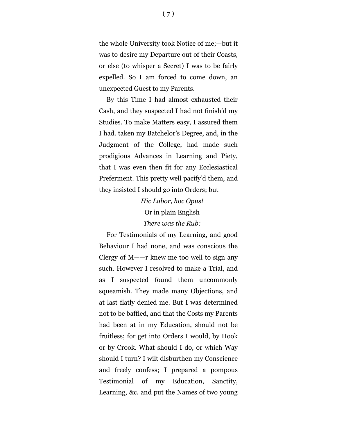the whole University took Notice of me;—but it was to desire my Departure out of their Coasts, or else (to whisper a Secret) I was to be fairly expelled. So I am forced to come down, an unexpected Guest to my Parents.

By this Time I had almost exhausted their Cash, and they suspected I had not finish'd my Studies. To make Matters easy, I assured them I had. taken my Batchelor's Degree, and, in the Judgment of the College, had made such prodigious Advances in Learning and Piety, that I was even then fit for any Ecclesiastical Preferment. This pretty well pacify'd them, and they insisted I should go into Orders; but

> *Hic Labor, hoc Opus!* Or in plain English *There was the Rub:*

For Testimonials of my Learning, and good Behaviour I had none, and was conscious the Clergy of M——r knew me too well to sign any such. However I resolved to make a Trial, and as I suspected found them uncommonly squeamish. They made many Objections, and at last flatly denied me. But I was determined not to be baffled, and that the Costs my Parents had been at in my Education, should not be fruitless; for get into Orders I would, by Hook or by Crook. What should I do, or which Way should I turn? I wilt disburthen my Conscience and freely confess; I prepared a pompous Testimonial of my Education, Sanctity, Learning, &c. and put the Names of two young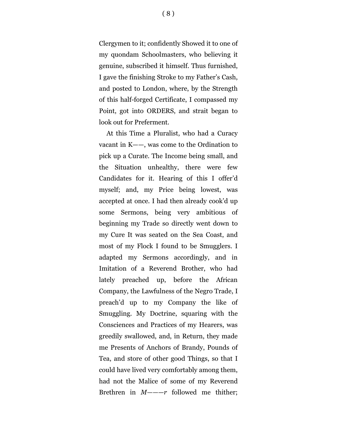Clergymen to it; confidently Showed it to one of my quondam Schoolmasters, who believing it genuine, subscribed it himself. Thus furnished, I gave the finishing Stroke to my Father's Cash, and posted to London, where, by the Strength of this half-forged Certificate, I compassed my Point, got into ORDERS, and strait began to look out for Preferment.

At this Time a Pluralist, who had a Curacy vacant in K——, was come to the Ordination to pick up a Curate. The Income being small, and the Situation unhealthy, there were few Candidates for it. Hearing of this I offer'd myself; and, my Price being lowest, was accepted at once. I had then already cook'd up some Sermons, being very ambitious of beginning my Trade so directly went down to my Cure It was seated on the Sea Coast, and most of my Flock I found to be Smugglers. I adapted my Sermons accordingly, and in Imitation of a Reverend Brother, who had lately preached up, before the African Company, the Lawfulness of the Negro Trade, I preach'd up to my Company the like of Smuggling. My Doctrine, squaring with the Consciences and Practices of my Hearers, was greedily swallowed, and, in Return, they made me Presents of Anchors of Brandy, Pounds of Tea, and store of other good Things, so that I could have lived very comfortably among them, had not the Malice of some of my Reverend Brethren in *M——*—*r* followed me thither;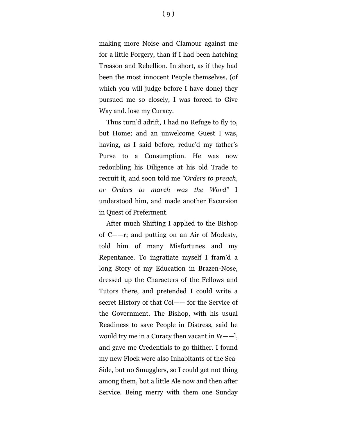making more Noise and Clamour against me for a little Forgery, than if I had been hatching Treason and Rebellion. In short, as if they had been the most innocent People themselves, (of which you will judge before I have done) they pursued me so closely, I was forced to Give Way and. lose my Curacy.

Thus turn'd adrift, I had no Refuge to fly to, but Home; and an unwelcome Guest I was, having, as I said before, reduc'd my father's Purse to a Consumption. He was now redoubling his Diligence at his old Trade to recruit it, and soon told me *"Orders to preach, or Orders to march* w*as the Word"* I understood him, and made another Excursion in Quest 0f Preferment.

After much Shifting I applied to the Bishop of C——r; and putting on an Air of Modesty, told him of many Misfortunes and my Repentance. To ingratiate myself I fram'd a long Story of my Education in Brazen-Nose, dressed up the Characters of the Fellows and Tutors there, and pretended I could write a secret History of that Col—— for the Service of the Government. The Bishop, with his usual Readiness to save People in Distress, said he would try me in a Curacy then vacant in W——l, and gave me Credentials to go thither. I found my new Flock were also Inhabitants of the Sea-Side, but no Smugglers, so I could get not thing among them, but a little Ale now and then after Service. Being merry with them one Sunday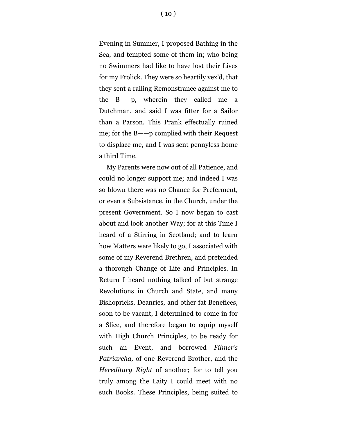Evening in Summer, I proposed Bathing in the Sea, and tempted some of them in; who being no Swimmers had like to have lost their Lives for my Frolick. They were so heartily vex'd, that

they sent a railing Remonstrance against me to the B——p, wherein they called me a Dutchman, and said I was fitter for a Sailor than a Parson. This Prank effectually ruined me; for the B——p complied with their Request to displace me, and I was sent pennyless home a third Time.

My Parents were now out of all Patience, and could no longer support me; and indeed I was so blown there was no Chance for Preferment, or even a Subsistance, in the Church, under the present Government. So I now began to cast about and look another Way; for at this Time I heard of a Stirring in Scotland; and to learn how Matters were likely to go, I associated with some of my Reverend Brethren, and pretended a thorough Change of Life and Principles. In Return I heard nothing talked of but strange Revolutions in Church and State, and many Bishopricks, Deanries, and other fat Benefices, soon to be vacant, I determined to come in for a Slice, and therefore began to equip myself with High Church Principles, to be ready for such an Event, and borrowed *Filmer's Patriarcha,* of one Reverend Brother, and the *Hereditary Right* of another; for to tell you truly among the Laity I could meet with no such Books. These Principles, being suited to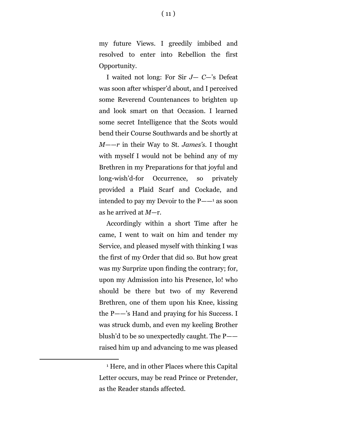my future Views. I greedily imbibed and resolved to enter into Rebellion the first Opportunity.

I waited not long: For Sir *J— C*—'s Defeat was soon after whisper'd about, and I perceived some Reverend Countenances to brighten up and look smart on that Occasion. I learned some secret Intelligence that the Scots would bend their Course Southwards and be shortly at *M——r* in their Way to St. *James's.* I thought with myself I would not be behind any of my Brethren in my Preparations for that joyful and long-wish'd-for Occurrence, so privately provided a Plaid Scarf and Cockade, and intended to pay my Devoir to the P——<sup>1</sup> as soon as he arrived at *M*—r.

Accordingly within a short Time after he came, I went to wait on him and tender my Service, and pleased myself with thinking I was the first of my Order that did so. But how great was my Surprize upon finding the contrary; for, upon my Admission into his Presence, lo! who should be there but two of my Reverend Brethren, one of them upon his Knee, kissing the P——'s Hand and praying for his Success. I was struck dumb, and even my keeling Brother blush'd to be so unexpectedly caught. The P— raised him up and advancing to me was pleased

÷.

<sup>1</sup> Here, and in other Places where this Capital Letter occurs, may be read Prince or Pretender, as the Reader stands affected.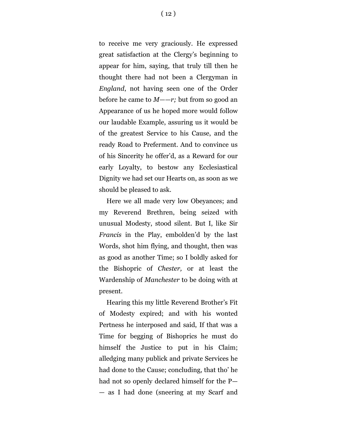to receive me very graciously. He expressed great satisfaction at the Clergy's beginning to appear for him, saying, that truly till then he thought there had not been a Clergyman in *England*, not having seen one of the Order before he came to *M——r;* but from so good an Appearance of us he hoped more would follow our laudable Example, assuring us it would be of the greatest Service to his Cause, and the ready Road to Preferment. And to convince us of his Sincerity he offer'd, as a Reward for our early Loyalty, to bestow any Ecclesiastical Dignity we had set our Hearts on, as soon as we should be pleased to ask.

Here we all made very low Obeyances; and my Reverend Brethren, being seized with unusual Modesty, stood silent. But I, like Sir *Francis* in the Play, embolden'd by the last Words, shot him flying, and thought, then was as good as another Time; so I boldly asked for the Bishopric of *Chester,* or at least the Wardenship of *Manchester* to be doing with at present.

Hearing this my little Reverend Brother's Fit of Modesty expired; and with his wonted Pertness he interposed and said, If that was a Time for begging of Bishoprics he must do himself the Justice to put in his Claim; alledging many publick and private Services he had done to the Cause; concluding, that tho' he had not so openly declared himself for the P— — as I had done (sneering at my Scarf and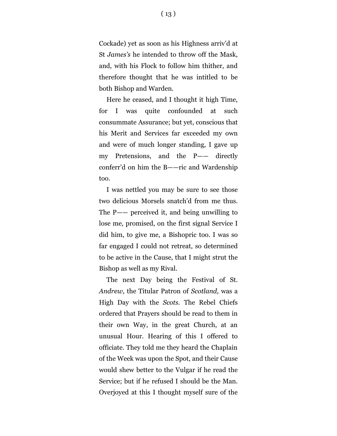Cockade) yet as soon as his Highness arriv'd at St *James's* he intended to throw off the Mask, and, with his Flock to follow him thither, and therefore thought that he was intitled to be both Bishop and Warden.

Here he ceased, and I thought it high Time, for I was quite confounded at such consummate Assurance; but yet, conscious that his Merit and Services far exceeded my own and were of much longer standing, I gave up my Pretensions, and the P—— directly conferr'd on him the B——ric and Wardenship too.

I was nettled you may be sure to see those two delicious Morsels snatch'd from me thus. The P—— perceived it, and being unwilling to lose me, promised, on the first signal Service I did him, to give me, a Bishopric too. I was so far engaged I could not retreat, so determined to be active in the Cause, that I might strut the Bishop as well as my Rival.

The next Day being the Festival of St. *Andrew*, the Titular Patron of *Scotland,* was a High Day with the *Scots.* The Rebel Chiefs ordered that Prayers should be read to them in their own Way, in the great Church, at an unusual Hour. Hearing of this I offered to officiate. They told me they heard the Chaplain of the Week was upon the Spot, and their Cause would shew better to the Vulgar if he read the Service; but if he refused I should be the Man. Overjoyed at this I thought myself sure of the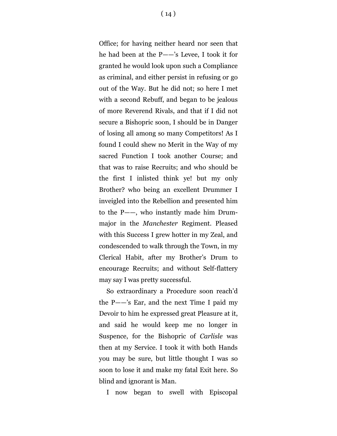Office; for having neither heard nor seen that he had been at the P——'s Levee, I took it for granted he would look upon such a Compliance as criminal, and either persist in refusing or go out of the Way. But he did not; so here I met with a second Rebuff, and began to be jealous of more Reverend Rivals, and that if I did not secure a Bishopric soon, I should be in Danger of losing all among so many Competitors! As I found I could shew no Merit in the Way of my sacred Function I took another Course; and that was to raise Recruits; and who should be the first I inlisted think ye! but my only Brother? who being an excellent Drummer I inveigled into the Rebellion and presented him to the P——, who instantly made him Drummajor in the *Manchester* Regiment. Pleased with this Success I grew hotter in my Zeal, and condescended to walk through the Town, in my Clerical Habit, after my Brother's Drum to encourage Recruits; and without Self-flattery may say I was pretty successful.

So extraordinary a Procedure soon reach'd the P——'s Ear, and the next Time I paid my Devoir to him he expressed great Pleasure at it, and said he would keep me no longer in Suspence, for the Bishopric of *Carlisle* was then at my Service. I took it with both Hands you may be sure, but little thought I was so soon to lose it and make my fatal Exit here. So blind and ignorant is Man.

I now began to swell with Episcopal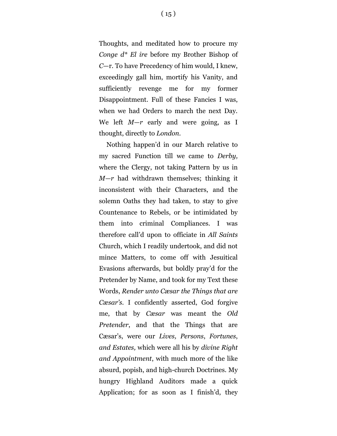$(15)$ 

Thoughts, and meditated how to procure my *Conge d\* El ire* before my Brother Bishop of *C*—r. To have Precedency of him would, I knew, exceedingly gall him, mortify his Vanity, and sufficiently revenge me for my former Disappointment. Full of these Fancies I was, when we had Orders to march the next Day. We left *M—r* early and were going, as I thought, directly to *London.*

Nothing happen'd in our March relative to my sacred Function till we came to *Derby,* where the Clergy, not taking Pattern by us in *M—r* had withdrawn themselves; thinking it inconsistent with their Characters, and the solemn Oaths they had taken, to stay to give Countenance to Rebels, or be intimidated by them into criminal Compliances. I was therefore call'd upon to officiate in *All Saints* Church, which I readily undertook, and did not mince Matters, to come off with Jesuitical Evasions afterwards, but boldly pray'd for the Pretender by Name, and took for my Text these Words, *Render unto Cæsar the Things that are Cæsar's.* I confidently asserted, God forgive me, that by *Cæsar* was meant the *Old Pretender*, and that the Things that are Cæsar's, were our *Lives, Persons*, *Fortunes*, *and Estates,* which were all his by *divine Right and Appointment*, with much more of the like absurd, popish, and high-church Doctrines. My hungry Highland Auditors made a quick Application; for as soon as I finish'd, they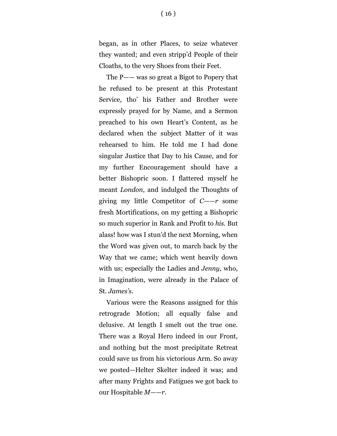began, as in other Places, to seize whatever they wanted; and even stripp'd People of their Cloaths, to the very Shoes from their Feet.

The P—— was so great a Bigot to Popery that he refused to be present at this Protestant Service, tho' his Father and Brother were expressly prayed for by Name, and a Sermon preached to his own Heart's Content, as he declared when the subject Matter of it was rehearsed to him. He told me I had done singular Justice that Day to his Cause, and for my further Encouragement should have a better Bishopric soon. I flattered myself he meant *London*, and indulged the Thoughts of giving my little Competitor of *C——r* some fresh Mortifications, on my getting a Bishopric so much superior in Rank and Profit to *his.* But alass! how was I stun'd the next Morning, when the Word was given out, to march back by the Way that we came; which went heavily down with us; especially the Ladies and *Jenny,* who, in Imagination, were already in the Palace of St. *James's.*

Various were the Reasons assigned for this retrograde Motion; all equally false and delusive. At length I smelt out the true one. There was a Royal Hero indeed in our Front, and nothing but the most precipitate Retreat could save us from his victorious Arm. So away we posted—Helter Skelter indeed it was; and after many Frights and Fatigues we got back to our Hospitable *M——r.*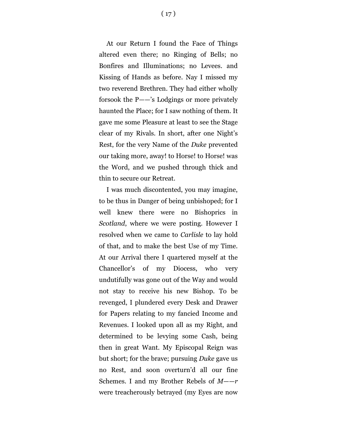At our Return I found the Face of Things altered even there; no Ringing of Bells; no Bonfires and Illuminations; no Levees. and Kissing of Hands as before. Nay I missed my two reverend Brethren. They had either wholly forsook the P——'s Lodgings or more privately haunted the Place; for I saw nothing of them. It gave me some Pleasure at least to see the Stage clear of my Rivals. In short, after one Night's Rest, for the very Name of the *Duke* prevented our taking more, away! to Horse! to Horse! was the Word, and we pushed through thick and thin to secure our Retreat.

I was much discontented, you may imagine, to be thus in Danger of being unbishoped; for I well knew there were no Bishoprics in *Scotland*, where we were posting. However I resolved when we came to *Carlisle* to lay hold of that, and to make the best Use of my Time. At our Arrival there I quartered myself at the Chancellor's of my Diocess, who very undutifully was gone out of the Way and would not stay to receive his new Bishop. To be revenged, I plundered every Desk and Drawer for Papers relating to my fancied Income and Revenues. I looked upon all as my Right, and determined to be levying some Cash, being then in great Want. My Episcopal Reign was but short; for the brave; pursuing *Duke* gave us no Rest, and soon overturn'd all our fine Schemes. I and my Brother Rebels of *M*——*r* were treacherously betrayed (my Eyes are now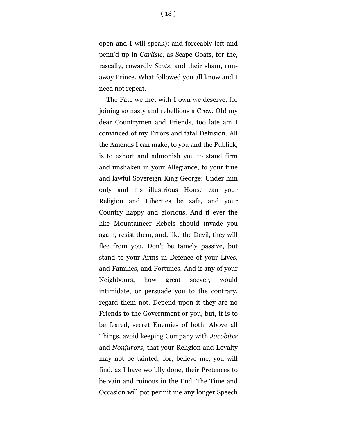open and I will speak): and forceably left and penn'd up in *Carlisle,* as Scape Goats, for the, rascally, cowardly *Scots,* and their sham, runaway Prince. What followed you all know and I need not repeat.

The Fate we met with I own we deserve, for joining so nasty and rebellious a Crew. Oh! my dear Countrymen and Friends, too late am I convinced of my Errors and fatal Delusion. All the Amends I can make, to you and the Publick, is to exhort and admonish you to stand firm and unshaken in your Allegiance, to your true and lawful Sovereign King George: Under him only and his illustrious House can your Religion and Liberties be safe, and your Country happy and glorious. And if ever the like Mountaineer Rebels should invade you again, resist them, and, like the Devil, they will flee from you. Don't be tamely passive, but stand to your Arms in Defence of your Lives, and Families, and Fortunes. And if any of your Neighbours, how great soever, would intimidate, or persuade you to the contrary, regard them not. Depend upon it they are no Friends to the Government or you, but, it is to be feared, secret Enemies of both. Above all Things, avoid keeping Company with *Jacobites* and *Nonjurors,* that your Religion and Loyalty may not be tainted; for, believe me, you will find, as I have wofully done, their Pretences to be vain and ruinous in the End. The Time and Occasion will pot permit me any longer Speech